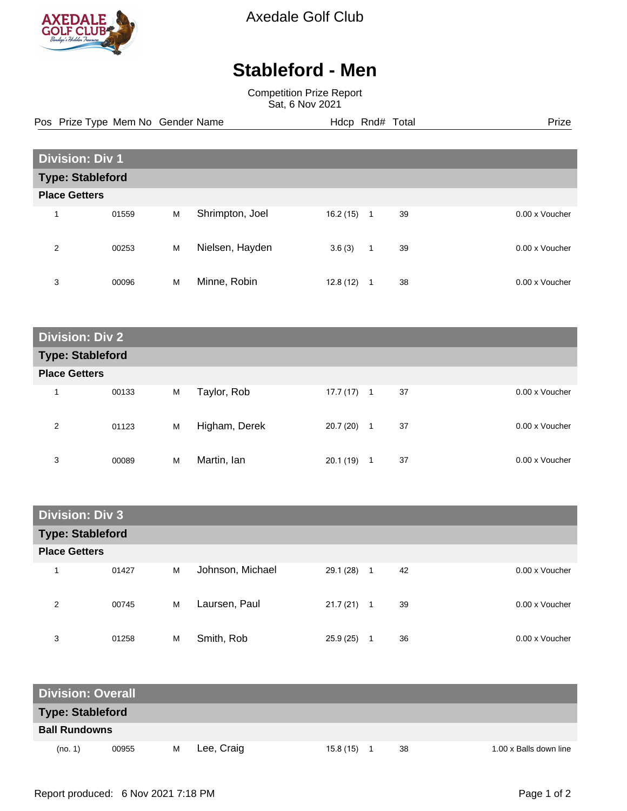

Axedale Golf Club

## **Stableford - Men**

Competition Prize Report Sat, 6 Nov 2021

Pos Prize Type Mem No Gender Name **Hdcp Rnd# Total** Prize Prize

| <b>Division: Div 1</b>  |       |   |                 |          |              |    |  |                |
|-------------------------|-------|---|-----------------|----------|--------------|----|--|----------------|
| <b>Type: Stableford</b> |       |   |                 |          |              |    |  |                |
| <b>Place Getters</b>    |       |   |                 |          |              |    |  |                |
| 4                       | 01559 | M | Shrimpton, Joel | 16.2(15) | 1            | 39 |  | 0.00 x Voucher |
| 2                       | 00253 | M | Nielsen, Hayden | 3.6(3)   | $\mathbf{1}$ | 39 |  | 0.00 x Voucher |
| 3                       | 00096 | M | Minne, Robin    | 12.8(12) | 1            | 38 |  | 0.00 x Voucher |

| <b>Division: Div 2</b>  |       |   |               |              |              |    |  |                |
|-------------------------|-------|---|---------------|--------------|--------------|----|--|----------------|
| <b>Type: Stableford</b> |       |   |               |              |              |    |  |                |
| <b>Place Getters</b>    |       |   |               |              |              |    |  |                |
| $\overline{\mathbf{A}}$ | 00133 | M | Taylor, Rob   | $17.7(17)$ 1 |              | 37 |  | 0.00 x Voucher |
| 2                       | 01123 | M | Higham, Derek | 20.7(20)     | $\mathbf{1}$ | 37 |  | 0.00 x Voucher |
| 3                       | 00089 | M | Martin, Ian   | 20.1(19)     | 1            | 37 |  | 0.00 x Voucher |

| <b>Division: Div 3</b>  |       |   |                  |              |                        |                |  |  |
|-------------------------|-------|---|------------------|--------------|------------------------|----------------|--|--|
| <b>Type: Stableford</b> |       |   |                  |              |                        |                |  |  |
| <b>Place Getters</b>    |       |   |                  |              |                        |                |  |  |
| 1                       | 01427 | M | Johnson, Michael | 29.1 (28)    | 42<br>$\blacksquare$ 1 | 0.00 x Voucher |  |  |
| 2                       | 00745 | M | Laursen, Paul    | $21.7(21)$ 1 | 39                     | 0.00 x Voucher |  |  |
| 3                       | 01258 | M | Smith, Rob       | 25.9(25)     | 36                     | 0.00 x Voucher |  |  |

| <b>Division: Overall</b> |       |   |            |  |          |  |    |  |                        |
|--------------------------|-------|---|------------|--|----------|--|----|--|------------------------|
| <b>Type: Stableford</b>  |       |   |            |  |          |  |    |  |                        |
| <b>Ball Rundowns</b>     |       |   |            |  |          |  |    |  |                        |
| (no. 1)                  | 00955 | м | Lee, Craig |  | 15.8(15) |  | 38 |  | 1.00 x Balls down line |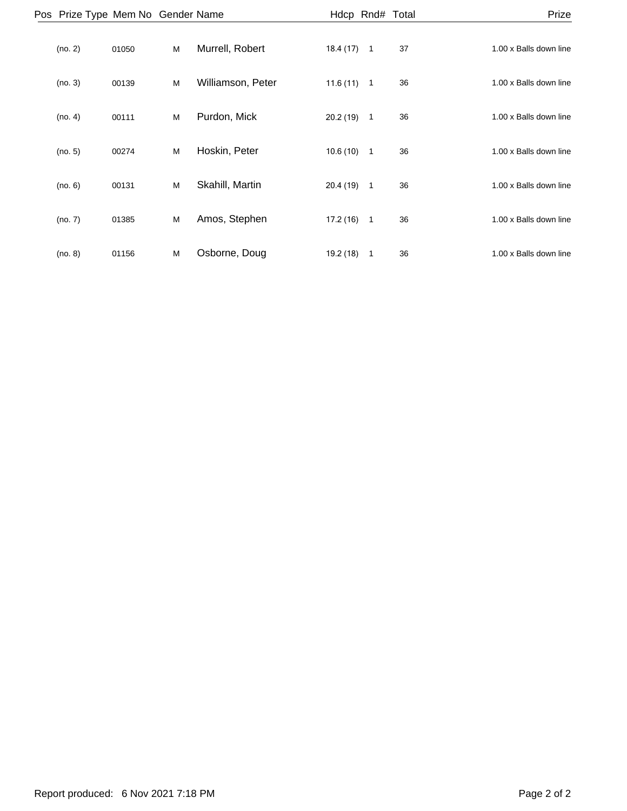| Prize                  | Hdcp Rnd# Total      |           |                   |   |       | Pos Prize Type Mem No Gender Name |  |
|------------------------|----------------------|-----------|-------------------|---|-------|-----------------------------------|--|
| 1.00 x Balls down line | 37<br>$\overline{1}$ | 18.4(17)  | Murrell, Robert   | M | 01050 | (no. 2)                           |  |
| 1.00 x Balls down line | 36<br>$\overline{1}$ | 11.6(11)  | Williamson, Peter | M | 00139 | (no. 3)                           |  |
| 1.00 x Balls down line | $\overline{1}$<br>36 | 20.2(19)  | Purdon, Mick      | M | 00111 | (no. 4)                           |  |
| 1.00 x Balls down line | 36<br>$\overline{1}$ | 10.6(10)  | Hoskin, Peter     | M | 00274 | (no. 5)                           |  |
| 1.00 x Balls down line | $\overline{1}$<br>36 | 20.4(19)  | Skahill, Martin   | M | 00131 | (no. 6)                           |  |
| 1.00 x Balls down line | $\overline{1}$<br>36 | 17.2(16)  | Amos, Stephen     | M | 01385 | (no. 7)                           |  |
| 1.00 x Balls down line | 36<br>$\mathbf{1}$   | 19.2 (18) | Osborne, Doug     | M | 01156 | (no. 8)                           |  |